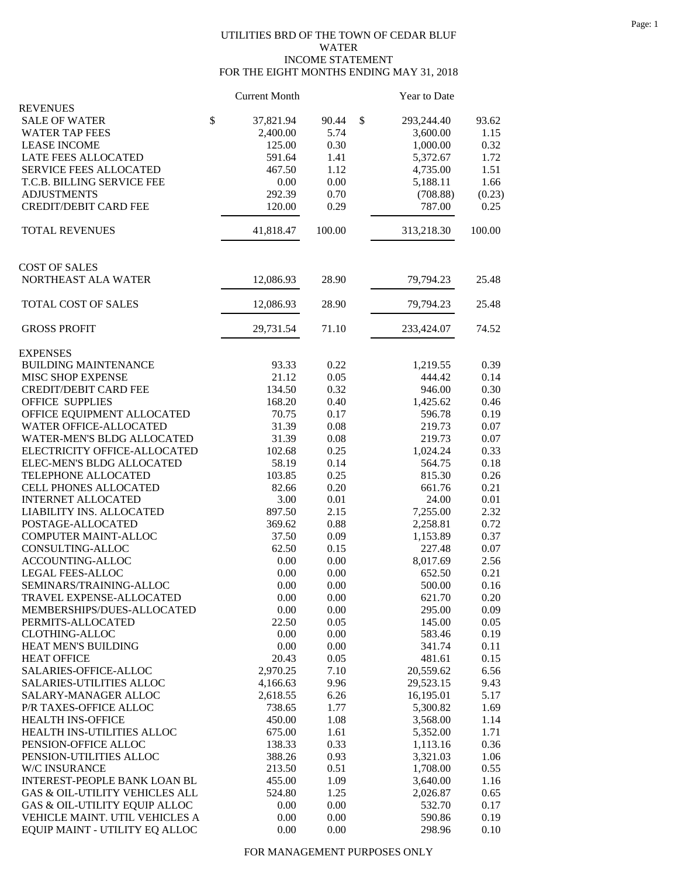## UTILITIES BRD OF THE TOWN OF CEDAR BLUF WATER INCOME STATEMENT FOR THE EIGHT MONTHS ENDING MAY 31, 2018

|                                | <b>Current Month</b> |        | Year to Date     |        |
|--------------------------------|----------------------|--------|------------------|--------|
| <b>REVENUES</b>                |                      |        |                  |        |
| \$<br><b>SALE OF WATER</b>     | 37,821.94            | 90.44  | \$<br>293,244.40 | 93.62  |
| <b>WATER TAP FEES</b>          | 2,400.00             | 5.74   | 3,600.00         | 1.15   |
| <b>LEASE INCOME</b>            | 125.00               | 0.30   | 1,000.00         | 0.32   |
| LATE FEES ALLOCATED            | 591.64               | 1.41   | 5,372.67         | 1.72   |
| SERVICE FEES ALLOCATED         | 467.50               | 1.12   | 4,735.00         | 1.51   |
| T.C.B. BILLING SERVICE FEE     | 0.00                 | 0.00   | 5,188.11         | 1.66   |
| <b>ADJUSTMENTS</b>             | 292.39               | 0.70   | (708.88)         | (0.23) |
| <b>CREDIT/DEBIT CARD FEE</b>   | 120.00               | 0.29   | 787.00           | 0.25   |
| <b>TOTAL REVENUES</b>          | 41,818.47            | 100.00 | 313,218.30       | 100.00 |
| <b>COST OF SALES</b>           |                      |        |                  |        |
| NORTHEAST ALA WATER            | 12,086.93            | 28.90  | 79,794.23        | 25.48  |
| TOTAL COST OF SALES            | 12,086.93            | 28.90  | 79,794.23        | 25.48  |
| <b>GROSS PROFIT</b>            | 29,731.54            | 71.10  | 233,424.07       | 74.52  |
| <b>EXPENSES</b>                |                      |        |                  |        |
| <b>BUILDING MAINTENANCE</b>    | 93.33                | 0.22   | 1,219.55         | 0.39   |
| MISC SHOP EXPENSE              | 21.12                | 0.05   | 444.42           | 0.14   |
| <b>CREDIT/DEBIT CARD FEE</b>   | 134.50               | 0.32   | 946.00           | 0.30   |
| <b>OFFICE SUPPLIES</b>         | 168.20               | 0.40   | 1,425.62         | 0.46   |
| OFFICE EQUIPMENT ALLOCATED     | 70.75                | 0.17   | 596.78           | 0.19   |
| WATER OFFICE-ALLOCATED         | 31.39                | 0.08   | 219.73           | 0.07   |
| WATER-MEN'S BLDG ALLOCATED     | 31.39                | 0.08   | 219.73           | 0.07   |
| ELECTRICITY OFFICE-ALLOCATED   | 102.68               | 0.25   | 1,024.24         | 0.33   |
| ELEC-MEN'S BLDG ALLOCATED      | 58.19                | 0.14   | 564.75           | 0.18   |
| TELEPHONE ALLOCATED            | 103.85               | 0.25   | 815.30           | 0.26   |
| CELL PHONES ALLOCATED          | 82.66                | 0.20   | 661.76           | 0.21   |
| <b>INTERNET ALLOCATED</b>      | 3.00                 | 0.01   | 24.00            | 0.01   |
| LIABILITY INS. ALLOCATED       | 897.50               | 2.15   | 7,255.00         | 2.32   |
| POSTAGE-ALLOCATED              | 369.62               | 0.88   | 2,258.81         | 0.72   |
| COMPUTER MAINT-ALLOC           | 37.50                | 0.09   | 1,153.89         | 0.37   |
| CONSULTING-ALLOC               | 62.50                | 0.15   | 227.48           | 0.07   |
| ACCOUNTING-ALLOC               | 0.00                 | 0.00   | 8,017.69         | 2.56   |
| <b>LEGAL FEES-ALLOC</b>        | 0.00                 | 0.00   | 652.50           | 0.21   |
| SEMINARS/TRAINING-ALLOC        | 0.00                 | 0.00   | 500.00           | 0.16   |
| TRAVEL EXPENSE-ALLOCATED       | 0.00                 | 0.00   | 621.70           | 0.20   |
| MEMBERSHIPS/DUES-ALLOCATED     | 0.00                 | 0.00   | 295.00           | 0.09   |
| PERMITS-ALLOCATED              | 22.50                | 0.05   | 145.00           | 0.05   |
| <b>CLOTHING-ALLOC</b>          | 0.00                 | 0.00   | 583.46           | 0.19   |
| HEAT MEN'S BUILDING            | 0.00                 | 0.00   | 341.74           | 0.11   |
| <b>HEAT OFFICE</b>             | 20.43                | 0.05   | 481.61           | 0.15   |
| SALARIES-OFFICE-ALLOC          | 2,970.25             | 7.10   | 20,559.62        | 6.56   |
| SALARIES-UTILITIES ALLOC       | 4,166.63             | 9.96   | 29,523.15        | 9.43   |
| SALARY-MANAGER ALLOC           | 2,618.55             | 6.26   | 16,195.01        | 5.17   |
| P/R TAXES-OFFICE ALLOC         | 738.65               | 1.77   | 5,300.82         | 1.69   |
| HEALTH INS-OFFICE              | 450.00               | 1.08   | 3,568.00         | 1.14   |
| HEALTH INS-UTILITIES ALLOC     | 675.00               | 1.61   | 5,352.00         | 1.71   |
| PENSION-OFFICE ALLOC           | 138.33               | 0.33   | 1,113.16         | 0.36   |
| PENSION-UTILITIES ALLOC        | 388.26               | 0.93   | 3,321.03         | 1.06   |
| W/C INSURANCE                  | 213.50               | 0.51   | 1,708.00         | 0.55   |
| INTEREST-PEOPLE BANK LOAN BL   | 455.00               | 1.09   | 3,640.00         | 1.16   |
| GAS & OIL-UTILITY VEHICLES ALL | 524.80               | 1.25   | 2,026.87         | 0.65   |
| GAS & OIL-UTILITY EQUIP ALLOC  | 0.00                 | 0.00   | 532.70           | 0.17   |
| VEHICLE MAINT. UTIL VEHICLES A | 0.00                 | 0.00   | 590.86           | 0.19   |
| EQUIP MAINT - UTILITY EQ ALLOC | 0.00                 | 0.00   | 298.96           | 0.10   |